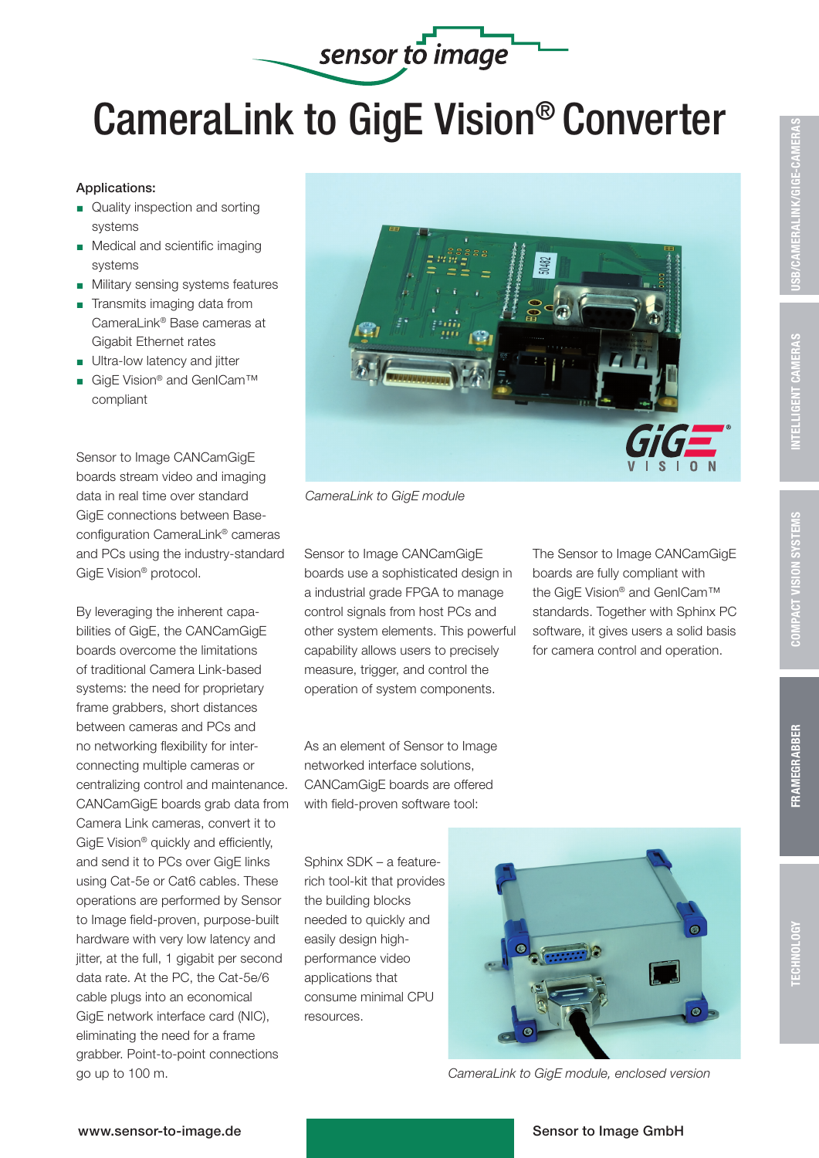## CameraLink to GigE Vision® Converter

sensor to image

## Applications:

- Quality inspection and sorting systems
- **Medical and scientific imaging** systems
- $\blacksquare$  Military sensing systems features
- $\blacksquare$  Transmits imaging data from CameraLink® Base cameras at Gigabit Ethernet rates
- Ultra-low latency and jitter
- GigE Vision<sup>®</sup> and GenICam™ compliant

Sensor to Image CANCamGigE boards stream video and imaging data in real time over standard GigE connections between Baseconfiguration CameraLink® cameras and PCs using the industry-standard GigE Vision® protocol.

By leveraging the inherent capabilities of GigE, the CANCamGigE boards overcome the limitations of traditional Camera Link-based systems: the need for proprietary frame grabbers, short distances between cameras and PCs and no networking flexibility for interconnecting multiple cameras or centralizing control and maintenance. CANCamGigE boards grab data from Camera Link cameras, convert it to GigE Vision® quickly and efficiently, and send it to PCs over GigE links using Cat-5e or Cat6 cables. These operations are performed by Sensor to Image field-proven, purpose-built hardware with very low latency and jitter, at the full, 1 gigabit per second data rate. At the PC, the Cat-5e/6 cable plugs into an economical GigE network interface card (NIC), eliminating the need for a frame grabber. Point-to-point connections go up to 100 m.



*CameraLink to GigE module*

Sensor to Image CANCamGigE boards use a sophisticated design in a industrial grade FPGA to manage control signals from host PCs and other system elements. This powerful capability allows users to precisely measure, trigger, and control the operation of system components.

As an element of Sensor to Image networked interface solutions, CANCamGigE boards are offered with field-proven software tool:

Sphinx SDK – a featurerich tool-kit that provides the building blocks needed to quickly and easily design highperformance video applications that consume minimal CPU resources.



*CameraLink to GigE module, enclosed version*

## www.sensor-to-image.de Sensor to Image GmbH